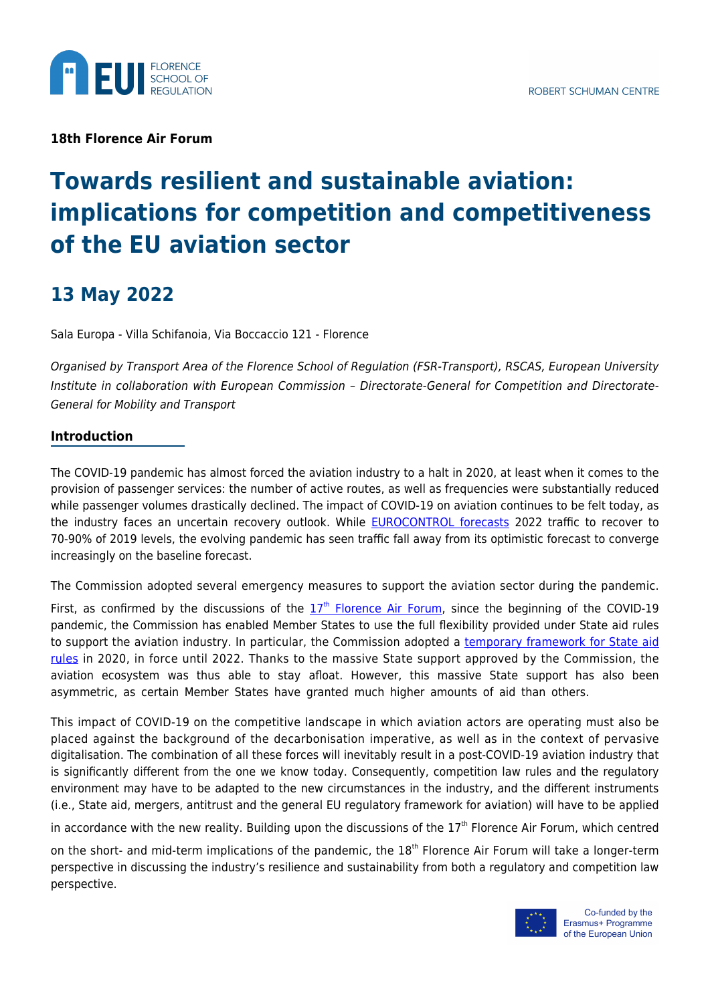

**18th Florence Air Forum**

# **Towards resilient and sustainable aviation: implications for competition and competitiveness of the EU aviation sector**

## **13 May 2022**

Sala Europa - Villa Schifanoia, Via Boccaccio 121 - Florence

Organised by Transport Area of the Florence School of Regulation (FSR-Transport), RSCAS, European University Institute in collaboration with European Commission – Directorate-General for Competition and Directorate-General for Mobility and Transport

### **Introduction**

The COVID-19 pandemic has almost forced the aviation industry to a halt in 2020, at least when it comes to the provision of passenger services: the number of active routes, as well as frequencies were substantially reduced while passenger volumes drastically declined. The impact of COVID-19 on aviation continues to be felt today, as the industry faces an uncertain recovery outlook. While **EUROCONTROL** forecasts 2022 traffic to recover to 70-90% of 2019 levels, the evolving pandemic has seen traffic fall away from its optimistic forecast to converge increasingly on the baseline forecast.

The Commission adopted several emergency measures to support the aviation sector during the pandemic.

First, as confirmed by [th](https://cadmus.eui.eu/bitstream/handle/1814/73671/QM-AX-22-008-EN-N.pdf?sequence=1)e discussions of the  $17<sup>th</sup>$  [Florence Air Forum,](https://cadmus.eui.eu/bitstream/handle/1814/73671/QM-AX-22-008-EN-N.pdf?sequence=1) since the beginning of the COVID-19 pandemic, the Commission has enabled Member States to use the full flexibility provided under State aid rules to support the aviation industry. In particular, the Commission adopted a [temporary framework for State aid](https://ec.europa.eu/competition-policy/state-aid/coronavirus/temporary-framework_en) [rules](https://ec.europa.eu/competition-policy/state-aid/coronavirus/temporary-framework_en) in 2020, in force until 2022. Thanks to the massive State support approved by the Commission, the aviation ecosystem was thus able to stay afloat. However, this massive State support has also been asymmetric, as certain Member States have granted much higher amounts of aid than others.

This impact of COVID-19 on the competitive landscape in which aviation actors are operating must also be placed against the background of the decarbonisation imperative, as well as in the context of pervasive digitalisation. The combination of all these forces will inevitably result in a post-COVID-19 aviation industry that is significantly different from the one we know today. Consequently, competition law rules and the regulatory environment may have to be adapted to the new circumstances in the industry, and the different instruments (i.e., State aid, mergers, antitrust and the general EU regulatory framework for aviation) will have to be applied

in accordance with the new reality. Building upon the discussions of the  $17<sup>th</sup>$  Florence Air Forum, which centred

on the short- and mid-term implications of the pandemic, the 18<sup>th</sup> Florence Air Forum will take a longer-term perspective in discussing the industry's resilience and sustainability from both a regulatory and competition law perspective.

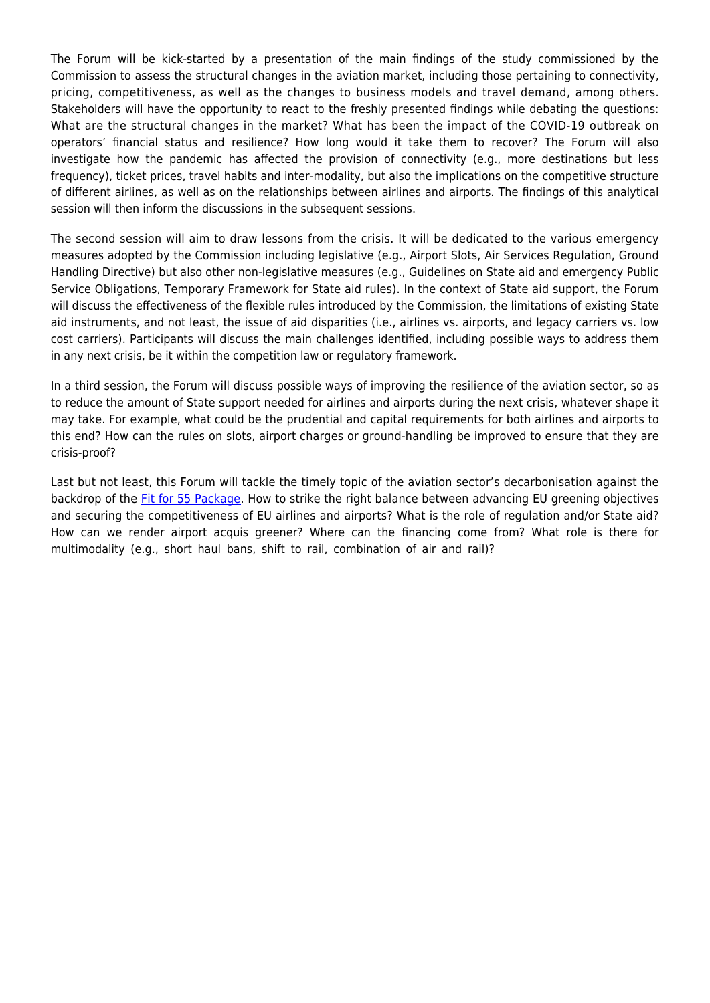The Forum will be kick-started by a presentation of the main findings of the study commissioned by the Commission to assess the structural changes in the aviation market, including those pertaining to connectivity, pricing, competitiveness, as well as the changes to business models and travel demand, among others. Stakeholders will have the opportunity to react to the freshly presented findings while debating the questions: What are the structural changes in the market? What has been the impact of the COVID-19 outbreak on operators' financial status and resilience? How long would it take them to recover? The Forum will also investigate how the pandemic has affected the provision of connectivity (e.g., more destinations but less frequency), ticket prices, travel habits and inter-modality, but also the implications on the competitive structure of different airlines, as well as on the relationships between airlines and airports. The findings of this analytical session will then inform the discussions in the subsequent sessions.

The second session will aim to draw lessons from the crisis. It will be dedicated to the various emergency measures adopted by the Commission including legislative (e.g., Airport Slots, Air Services Regulation, Ground Handling Directive) but also other non-legislative measures (e.g., Guidelines on State aid and emergency Public Service Obligations, Temporary Framework for State aid rules). In the context of State aid support, the Forum will discuss the effectiveness of the flexible rules introduced by the Commission, the limitations of existing State aid instruments, and not least, the issue of aid disparities (i.e., airlines vs. airports, and legacy carriers vs. low cost carriers). Participants will discuss the main challenges identified, including possible ways to address them in any next crisis, be it within the competition law or regulatory framework.

In a third session, the Forum will discuss possible ways of improving the resilience of the aviation sector, so as to reduce the amount of State support needed for airlines and airports during the next crisis, whatever shape it may take. For example, what could be the prudential and capital requirements for both airlines and airports to this end? How can the rules on slots, airport charges or ground-handling be improved to ensure that they are crisis-proof?

Last but not least, this Forum will tackle the timely topic of the aviation sector's decarbonisation against the backdrop of the [Fit for 55 Package.](https://www.consilium.europa.eu/en/policies/green-deal/eu-plan-for-a-green-transition/) How to strike the right balance between advancing EU greening objectives and securing the competitiveness of EU airlines and airports? What is the role of regulation and/or State aid? How can we render airport acquis greener? Where can the financing come from? What role is there for multimodality (e.g., short haul bans, shift to rail, combination of air and rail)?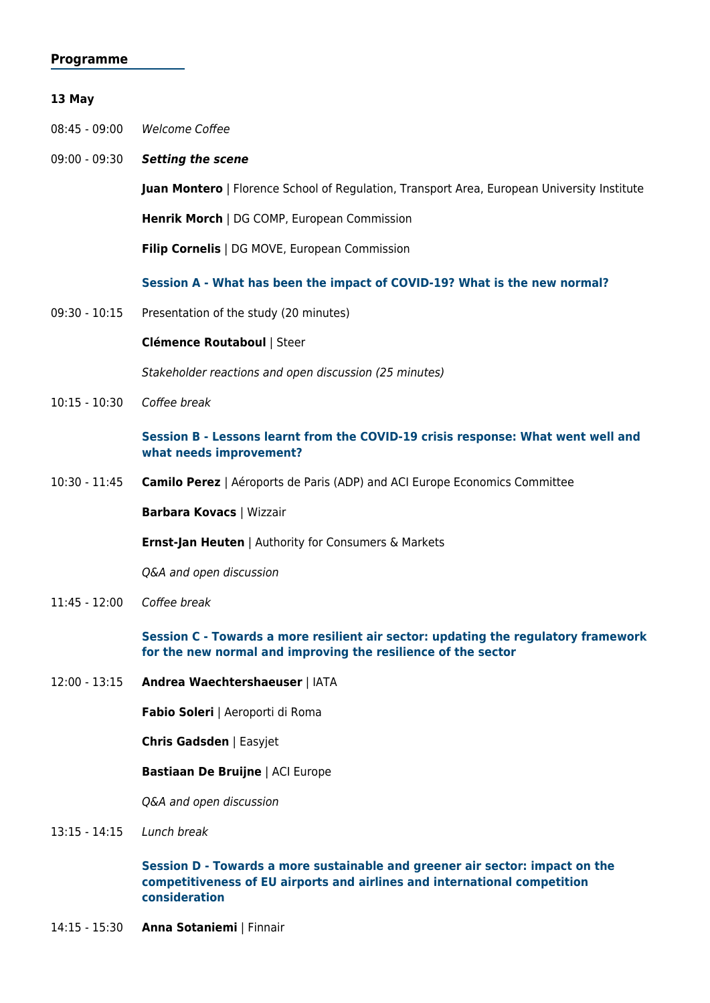#### **Programme**

#### **13 May**

08:45 - 09:00 Welcome Coffee

09:00 - 09:30 *Setting the scene*

**Juan Montero** | Florence School of Regulation, Transport Area, European University Institute

**Henrik Morch** | DG COMP, European Commission

**Filip Cornelis** | DG MOVE, European Commission

**Session A - What has been the impact of COVID-19? What is the new normal?** 

09:30 - 10:15 Presentation of the study (20 minutes)

#### **Clémence Routaboul** | Steer

Stakeholder reactions and open discussion (25 minutes)

10:15 - 10:30 Coffee break

#### **Session B - Lessons learnt from the COVID-19 crisis response: What went well and what needs improvement?**

10:30 - 11:45 **Camilo Perez** | Aéroports de Paris (ADP) and ACI Europe Economics Committee

**Barbara Kovacs** | Wizzair

**Ernst-Jan Heuten** | Authority for Consumers & Markets

Q&A and open discussion

11:45 - 12:00 Coffee break

**Session C - Towards a more resilient air sector: updating the regulatory framework for the new normal and improving the resilience of the sector** 

12:00 - 13:15 **Andrea Waechtershaeuser** | IATA

**Fabio Soleri** | Aeroporti di Roma

**Chris Gadsden** | Easyjet

**Bastiaan De Bruijne** | ACI Europe

Q&A and open discussion

13:15 - 14:15 Lunch break

**Session D - Towards a more sustainable and greener air sector: impact on the competitiveness of EU airports and airlines and international competition consideration** 

14:15 - 15:30 **Anna Sotaniemi** | Finnair